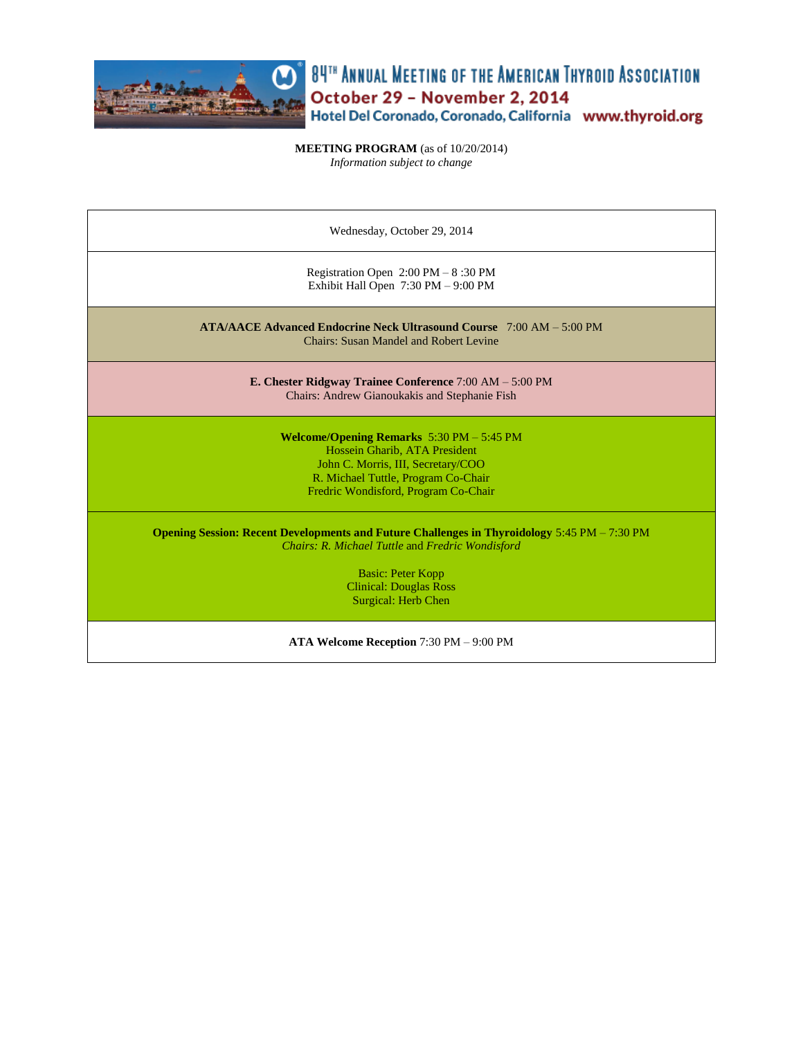

**CO**<sup>®</sup> 84<sup>TH</sup> ANNUAL MEETING OF THE AMERICAN THYROID ASSOCIATION October 29 - November 2, 2014<br>Hotel Del Coronado, Coronado, California www.thyroid.org

**MEETING PROGRAM** (as of 10/20/2014) *Information subject to change*

| Wednesday, October 29, 2014                                                                                                                                                                                |  |  |
|------------------------------------------------------------------------------------------------------------------------------------------------------------------------------------------------------------|--|--|
| Registration Open $2:00 \text{ PM} - 8:30 \text{ PM}$<br>Exhibit Hall Open 7:30 PM - 9:00 PM                                                                                                               |  |  |
| $ATA/AACE$ Advanced Endocrine Neck Ultrasound Course $7:00$ AM $-5:00$ PM<br><b>Chairs: Susan Mandel and Robert Levine</b>                                                                                 |  |  |
| E. Chester Ridgway Trainee Conference $7:00 AM - 5:00 PM$<br>Chairs: Andrew Gianoukakis and Stephanie Fish                                                                                                 |  |  |
| <b>Welcome/Opening Remarks</b> $5:30$ PM $- 5:45$ PM<br>Hossein Gharib, ATA President<br>John C. Morris, III, Secretary/COO<br>R. Michael Tuttle, Program Co-Chair<br>Fredric Wondisford, Program Co-Chair |  |  |
| <b>Opening Session: Recent Developments and Future Challenges in Thyroidology 5:45 PM – 7:30 PM</b><br>Chairs: R. Michael Tuttle and Fredric Wondisford                                                    |  |  |
| <b>Basic: Peter Kopp</b><br><b>Clinical: Douglas Ross</b><br>Surgical: Herb Chen                                                                                                                           |  |  |

**ATA Welcome Reception** 7:30 PM – 9:00 PM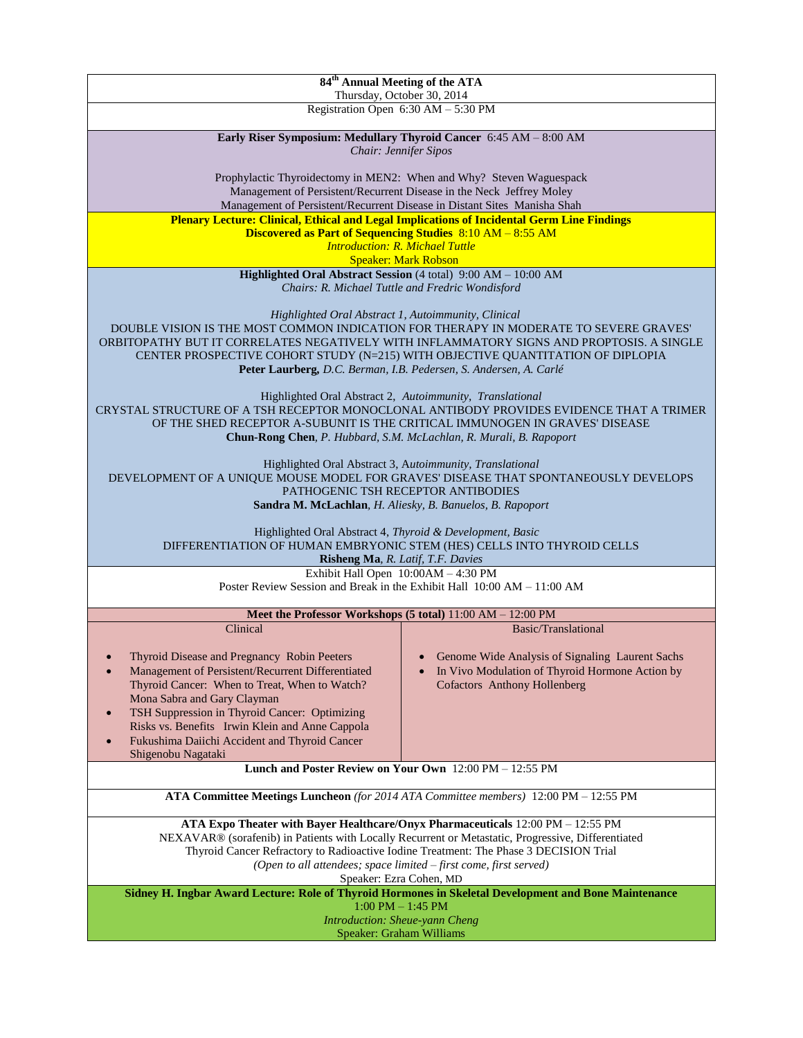| 84 <sup>th</sup> Annual Meeting of the ATA<br>Thursday, October 30, 2014                                                                                        |                                                                                                                                                                        |  |
|-----------------------------------------------------------------------------------------------------------------------------------------------------------------|------------------------------------------------------------------------------------------------------------------------------------------------------------------------|--|
|                                                                                                                                                                 | Registration Open 6:30 AM - 5:30 PM                                                                                                                                    |  |
|                                                                                                                                                                 |                                                                                                                                                                        |  |
|                                                                                                                                                                 | Early Riser Symposium: Medullary Thyroid Cancer 6:45 AM - 8:00 AM                                                                                                      |  |
|                                                                                                                                                                 | Chair: Jennifer Sipos                                                                                                                                                  |  |
|                                                                                                                                                                 | Prophylactic Thyroidectomy in MEN2: When and Why? Steven Waguespack                                                                                                    |  |
|                                                                                                                                                                 | Management of Persistent/Recurrent Disease in the Neck Jeffrey Moley                                                                                                   |  |
| Management of Persistent/Recurrent Disease in Distant Sites Manisha Shah                                                                                        |                                                                                                                                                                        |  |
| <b>Plenary Lecture: Clinical, Ethical and Legal Implications of Incidental Germ Line Findings</b><br>Discovered as Part of Sequencing Studies 8:10 AM - 8:55 AM |                                                                                                                                                                        |  |
| <b>Introduction: R. Michael Tuttle</b>                                                                                                                          |                                                                                                                                                                        |  |
| <b>Speaker: Mark Robson</b>                                                                                                                                     |                                                                                                                                                                        |  |
|                                                                                                                                                                 | Highlighted Oral Abstract Session (4 total) 9:00 AM - 10:00 AM                                                                                                         |  |
|                                                                                                                                                                 | Chairs: R. Michael Tuttle and Fredric Wondisford                                                                                                                       |  |
| Highlighted Oral Abstract 1, Autoimmunity, Clinical                                                                                                             |                                                                                                                                                                        |  |
|                                                                                                                                                                 | DOUBLE VISION IS THE MOST COMMON INDICATION FOR THERAPY IN MODERATE TO SEVERE GRAVES'                                                                                  |  |
|                                                                                                                                                                 | ORBITOPATHY BUT IT CORRELATES NEGATIVELY WITH INFLAMMATORY SIGNS AND PROPTOSIS. A SINGLE                                                                               |  |
|                                                                                                                                                                 | CENTER PROSPECTIVE COHORT STUDY (N=215) WITH OBJECTIVE QUANTITATION OF DIPLOPIA<br>Peter Laurberg, D.C. Berman, I.B. Pedersen, S. Andersen, A. Carlé                   |  |
|                                                                                                                                                                 |                                                                                                                                                                        |  |
|                                                                                                                                                                 | Highlighted Oral Abstract 2, Autoimmunity, Translational                                                                                                               |  |
|                                                                                                                                                                 | CRYSTAL STRUCTURE OF A TSH RECEPTOR MONOCLONAL ANTIBODY PROVIDES EVIDENCE THAT A TRIMER<br>OF THE SHED RECEPTOR A-SUBUNIT IS THE CRITICAL IMMUNOGEN IN GRAVES' DISEASE |  |
|                                                                                                                                                                 | Chun-Rong Chen, P. Hubbard, S.M. McLachlan, R. Murali, B. Rapoport                                                                                                     |  |
|                                                                                                                                                                 |                                                                                                                                                                        |  |
|                                                                                                                                                                 | Highlighted Oral Abstract 3, Autoimmunity, Translational                                                                                                               |  |
|                                                                                                                                                                 | DEVELOPMENT OF A UNIQUE MOUSE MODEL FOR GRAVES' DISEASE THAT SPONTANEOUSLY DEVELOPS<br>PATHOGENIC TSH RECEPTOR ANTIBODIES                                              |  |
|                                                                                                                                                                 | Sandra M. McLachlan, H. Aliesky, B. Banuelos, B. Rapoport                                                                                                              |  |
|                                                                                                                                                                 |                                                                                                                                                                        |  |
| Highlighted Oral Abstract 4, Thyroid & Development, Basic                                                                                                       |                                                                                                                                                                        |  |
|                                                                                                                                                                 | DIFFERENTIATION OF HUMAN EMBRYONIC STEM (HES) CELLS INTO THYROID CELLS<br>Risheng Ma, R. Latif, T.F. Davies                                                            |  |
|                                                                                                                                                                 | Exhibit Hall Open 10:00AM - 4:30 PM                                                                                                                                    |  |
|                                                                                                                                                                 | Poster Review Session and Break in the Exhibit Hall $10:00 AM - 11:00 AM$                                                                                              |  |
|                                                                                                                                                                 | Meet the Professor Workshops (5 total) 11:00 AM - 12:00 PM                                                                                                             |  |
| Clinical                                                                                                                                                        | Basic/Translational                                                                                                                                                    |  |
|                                                                                                                                                                 |                                                                                                                                                                        |  |
| Thyroid Disease and Pregnancy Robin Peeters                                                                                                                     | Genome Wide Analysis of Signaling Laurent Sachs                                                                                                                        |  |
| Management of Persistent/Recurrent Differentiated                                                                                                               | In Vivo Modulation of Thyroid Hormone Action by                                                                                                                        |  |
| Thyroid Cancer: When to Treat, When to Watch?<br>Mona Sabra and Gary Clayman                                                                                    | <b>Cofactors</b> Anthony Hollenberg                                                                                                                                    |  |
| TSH Suppression in Thyroid Cancer: Optimizing                                                                                                                   |                                                                                                                                                                        |  |
| Risks vs. Benefits Irwin Klein and Anne Cappola                                                                                                                 |                                                                                                                                                                        |  |
| Fukushima Daiichi Accident and Thyroid Cancer<br>$\bullet$                                                                                                      |                                                                                                                                                                        |  |
| Shigenobu Nagataki                                                                                                                                              |                                                                                                                                                                        |  |
| Lunch and Poster Review on Your Own 12:00 PM - 12:55 PM                                                                                                         |                                                                                                                                                                        |  |
| ATA Committee Meetings Luncheon (for 2014 ATA Committee members) 12:00 PM - 12:55 PM                                                                            |                                                                                                                                                                        |  |
| ATA Expo Theater with Bayer Healthcare/Onyx Pharmaceuticals 12:00 PM - 12:55 PM                                                                                 |                                                                                                                                                                        |  |
| NEXAVAR® (sorafenib) in Patients with Locally Recurrent or Metastatic, Progressive, Differentiated                                                              |                                                                                                                                                                        |  |
| Thyroid Cancer Refractory to Radioactive Iodine Treatment: The Phase 3 DECISION Trial                                                                           |                                                                                                                                                                        |  |
| (Open to all attendees; space limited - first come, first served)<br>Speaker: Ezra Cohen, MD                                                                    |                                                                                                                                                                        |  |
| Sidney H. Ingbar Award Lecture: Role of Thyroid Hormones in Skeletal Development and Bone Maintenance<br>$1:00$ PM $- 1:45$ PM                                  |                                                                                                                                                                        |  |
|                                                                                                                                                                 | Introduction: Sheue-yann Cheng                                                                                                                                         |  |
| Speaker: Graham Williams                                                                                                                                        |                                                                                                                                                                        |  |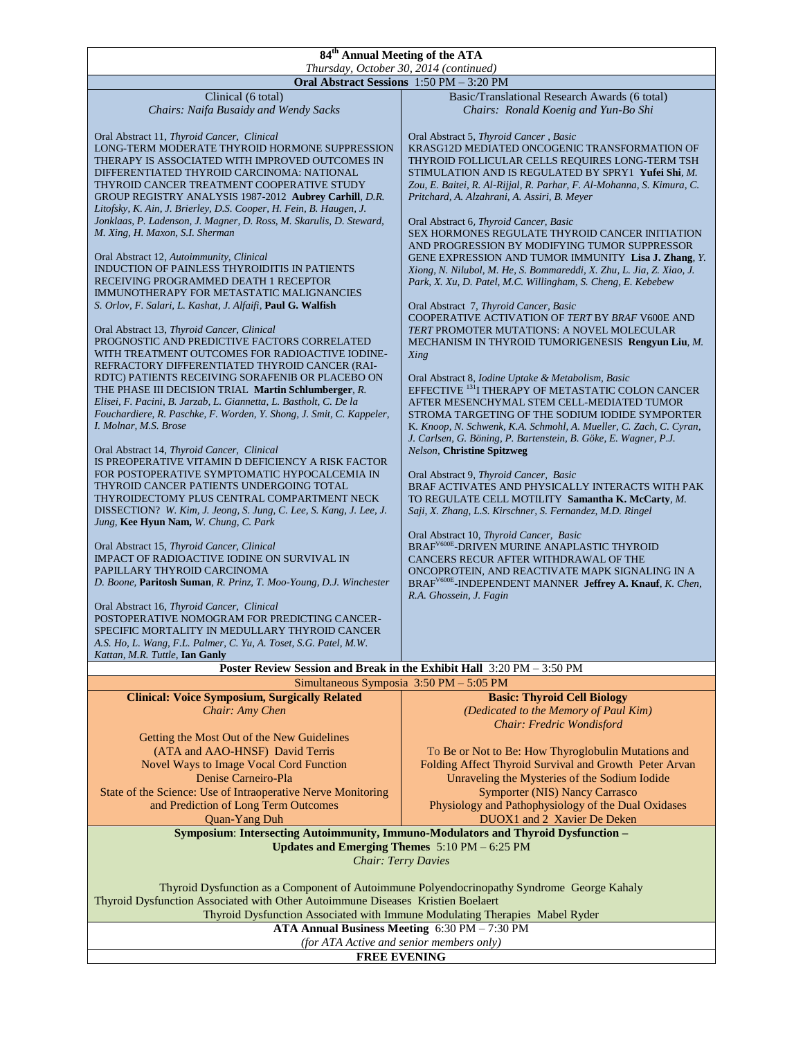## **84th Annual Meeting of the ATA**

| Thursday, October 30, 2014 (continued)                                          |                                                                                            |  |  |
|---------------------------------------------------------------------------------|--------------------------------------------------------------------------------------------|--|--|
| Oral Abstract Sessions 1:50 PM - 3:20 PM                                        |                                                                                            |  |  |
| Clinical (6 total)                                                              | Basic/Translational Research Awards (6 total)                                              |  |  |
| Chairs: Naifa Busaidy and Wendy Sacks                                           | Chairs: Ronald Koenig and Yun-Bo Shi                                                       |  |  |
|                                                                                 |                                                                                            |  |  |
| Oral Abstract 11, Thyroid Cancer, Clinical                                      | Oral Abstract 5, Thyroid Cancer, Basic                                                     |  |  |
| LONG-TERM MODERATE THYROID HORMONE SUPPRESSION                                  | KRASG12D MEDIATED ONCOGENIC TRANSFORMATION OF                                              |  |  |
| THERAPY IS ASSOCIATED WITH IMPROVED OUTCOMES IN                                 | THYROID FOLLICULAR CELLS REQUIRES LONG-TERM TSH                                            |  |  |
| DIFFERENTIATED THYROID CARCINOMA: NATIONAL                                      | STIMULATION AND IS REGULATED BY SPRY1 Yufei Shi, M.                                        |  |  |
| THYROID CANCER TREATMENT COOPERATIVE STUDY                                      | Zou, E. Baitei, R. Al-Rijjal, R. Parhar, F. Al-Mohanna, S. Kimura, C.                      |  |  |
| GROUP REGISTRY ANALYSIS 1987-2012 Aubrey Carhill, D.R.                          | Pritchard, A. Alzahrani, A. Assiri, B. Meyer                                               |  |  |
|                                                                                 |                                                                                            |  |  |
| Litofsky, K. Ain, J. Brierley, D.S. Cooper, H. Fein, B. Haugen, J.              |                                                                                            |  |  |
| Jonklaas, P. Ladenson, J. Magner, D. Ross, M. Skarulis, D. Steward,             | Oral Abstract 6, Thyroid Cancer, Basic                                                     |  |  |
| M. Xing, H. Maxon, S.I. Sherman                                                 | SEX HORMONES REGULATE THYROID CANCER INITIATION                                            |  |  |
|                                                                                 | AND PROGRESSION BY MODIFYING TUMOR SUPPRESSOR                                              |  |  |
| Oral Abstract 12, Autoimmunity, Clinical                                        | GENE EXPRESSION AND TUMOR IMMUNITY Lisa J. Zhang, Y.                                       |  |  |
| <b>INDUCTION OF PAINLESS THYROIDITIS IN PATIENTS</b>                            | Xiong, N. Nilubol, M. He, S. Bommareddi, X. Zhu, L. Jia, Z. Xiao, J.                       |  |  |
| RECEIVING PROGRAMMED DEATH 1 RECEPTOR                                           | Park, X. Xu, D. Patel, M.C. Willingham, S. Cheng, E. Kebebew                               |  |  |
| IMMUNOTHERAPY FOR METASTATIC MALIGNANCIES                                       |                                                                                            |  |  |
| S. Orlov, F. Salari, L. Kashat, J. Alfaifi, Paul G. Walfish                     | Oral Abstract 7, Thyroid Cancer, Basic                                                     |  |  |
|                                                                                 | COOPERATIVE ACTIVATION OF TERT BY BRAF V600E AND                                           |  |  |
| Oral Abstract 13, Thyroid Cancer, Clinical                                      | TERT PROMOTER MUTATIONS: A NOVEL MOLECULAR                                                 |  |  |
| PROGNOSTIC AND PREDICTIVE FACTORS CORRELATED                                    | MECHANISM IN THYROID TUMORIGENESIS Rengyun Liu, M.                                         |  |  |
| WITH TREATMENT OUTCOMES FOR RADIOACTIVE IODINE-                                 | Xing                                                                                       |  |  |
| REFRACTORY DIFFERENTIATED THYROID CANCER (RAI-                                  |                                                                                            |  |  |
| RDTC) PATIENTS RECEIVING SORAFENIB OR PLACEBO ON                                | Oral Abstract 8, Iodine Uptake & Metabolism, Basic                                         |  |  |
| THE PHASE III DECISION TRIAL Martin Schlumberger, R.                            | EFFECTIVE <sup>131</sup> I THERAPY OF METASTATIC COLON CANCER                              |  |  |
| Elisei, F. Pacini, B. Jarzab, L. Giannetta, L. Bastholt, C. De la               | AFTER MESENCHYMAL STEM CELL-MEDIATED TUMOR                                                 |  |  |
| Fouchardiere, R. Paschke, F. Worden, Y. Shong, J. Smit, C. Kappeler,            | STROMA TARGETING OF THE SODIUM IODIDE SYMPORTER                                            |  |  |
| I. Molnar, M.S. Brose                                                           | K. Knoop, N. Schwenk, K.A. Schmohl, A. Mueller, C. Zach, C. Cyran,                         |  |  |
|                                                                                 | J. Carlsen, G. Böning, P. Bartenstein, B. Göke, E. Wagner, P.J.                            |  |  |
| Oral Abstract 14, Thyroid Cancer, Clinical                                      | <b>Nelson, Christine Spitzweg</b>                                                          |  |  |
| IS PREOPERATIVE VITAMIN D DEFICIENCY A RISK FACTOR                              |                                                                                            |  |  |
| FOR POSTOPERATIVE SYMPTOMATIC HYPOCALCEMIA IN                                   | Oral Abstract 9, Thyroid Cancer, Basic                                                     |  |  |
| THYROID CANCER PATIENTS UNDERGOING TOTAL                                        | BRAF ACTIVATES AND PHYSICALLY INTERACTS WITH PAK                                           |  |  |
| THYROIDECTOMY PLUS CENTRAL COMPARTMENT NECK                                     | TO REGULATE CELL MOTILITY Samantha K. McCarty, M.                                          |  |  |
| DISSECTION? W. Kim, J. Jeong, S. Jung, C. Lee, S. Kang, J. Lee, J.              | Saji, X. Zhang, L.S. Kirschner, S. Fernandez, M.D. Ringel                                  |  |  |
| Jung, Kee Hyun Nam, W. Chung, C. Park                                           |                                                                                            |  |  |
|                                                                                 | Oral Abstract 10, Thyroid Cancer, Basic                                                    |  |  |
| Oral Abstract 15, Thyroid Cancer, Clinical                                      | BRAF <sup>V600E</sup> -DRIVEN MURINE ANAPLASTIC THYROID                                    |  |  |
| <b>IMPACT OF RADIOACTIVE IODINE ON SURVIVAL IN</b>                              | CANCERS RECUR AFTER WITHDRAWAL OF THE                                                      |  |  |
| PAPILLARY THYROID CARCINOMA                                                     | ONCOPROTEIN, AND REACTIVATE MAPK SIGNALING IN A                                            |  |  |
| D. Boone, Paritosh Suman, R. Prinz, T. Moo-Young, D.J. Winchester               | BRAF <sup>V600E</sup> -INDEPENDENT MANNER Jeffrey A. Knauf, K. Chen,                       |  |  |
|                                                                                 | R.A. Ghossein, J. Fagin                                                                    |  |  |
| Oral Abstract 16, Thyroid Cancer, Clinical                                      |                                                                                            |  |  |
| POSTOPERATIVE NOMOGRAM FOR PREDICTING CANCER-                                   |                                                                                            |  |  |
| SPECIFIC MORTALITY IN MEDULLARY THYROID CANCER                                  |                                                                                            |  |  |
| A.S. Ho, L. Wang, F.L. Palmer, C. Yu, A. Toset, S.G. Patel, M.W.                |                                                                                            |  |  |
| Kattan, M.R. Tuttle, Ian Ganly                                                  |                                                                                            |  |  |
|                                                                                 | Poster Review Session and Break in the Exhibit Hall 3:20 PM - 3:50 PM                      |  |  |
|                                                                                 | Simultaneous Symposia 3:50 PM - 5:05 PM                                                    |  |  |
|                                                                                 |                                                                                            |  |  |
| <b>Clinical: Voice Symposium, Surgically Related</b>                            | <b>Basic: Thyroid Cell Biology</b>                                                         |  |  |
| Chair: Amy Chen                                                                 | (Dedicated to the Memory of Paul Kim)                                                      |  |  |
|                                                                                 | Chair: Fredric Wondisford                                                                  |  |  |
| Getting the Most Out of the New Guidelines                                      |                                                                                            |  |  |
| (ATA and AAO-HNSF) David Terris                                                 | To Be or Not to Be: How Thyroglobulin Mutations and                                        |  |  |
| Novel Ways to Image Vocal Cord Function                                         | Folding Affect Thyroid Survival and Growth Peter Arvan                                     |  |  |
| Denise Carneiro-Pla                                                             | Unraveling the Mysteries of the Sodium Iodide                                              |  |  |
|                                                                                 |                                                                                            |  |  |
| State of the Science: Use of Intraoperative Nerve Monitoring                    | <b>Symporter (NIS) Nancy Carrasco</b>                                                      |  |  |
| and Prediction of Long Term Outcomes                                            | Physiology and Pathophysiology of the Dual Oxidases                                        |  |  |
| Quan-Yang Duh                                                                   | DUOX1 and 2 Xavier De Deken                                                                |  |  |
|                                                                                 | <b>Symposium: Intersecting Autoimmunity, Immuno-Modulators and Thyroid Dysfunction -</b>   |  |  |
| Updates and Emerging Themes 5:10 PM - 6:25 PM                                   |                                                                                            |  |  |
| <b>Chair: Terry Davies</b>                                                      |                                                                                            |  |  |
|                                                                                 |                                                                                            |  |  |
|                                                                                 | Thyroid Dysfunction as a Component of Autoimmune Polyendocrinopathy Syndrome George Kahaly |  |  |
|                                                                                 |                                                                                            |  |  |
| Thyroid Dysfunction Associated with Other Autoimmune Diseases Kristien Boelaert |                                                                                            |  |  |
|                                                                                 | Thyroid Dysfunction Associated with Immune Modulating Therapies Mabel Ryder                |  |  |
| ATA Annual Business Meeting 6:30 PM - 7:30 PM                                   |                                                                                            |  |  |
|                                                                                 | (for ATA Active and senior members only)                                                   |  |  |

**FREE EVENING**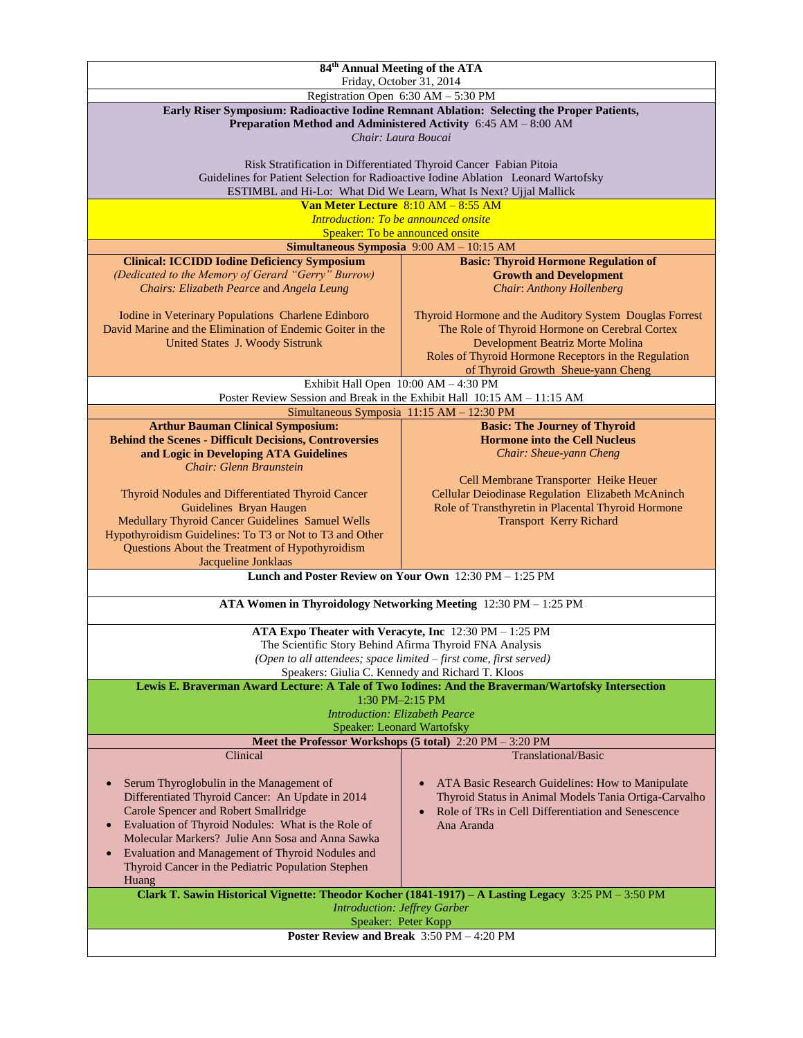| 84 <sup>th</sup> Annual Meeting of the ATA<br>Friday, October 31, 2014                                                                                                              |                                                                                                                                                       |  |
|-------------------------------------------------------------------------------------------------------------------------------------------------------------------------------------|-------------------------------------------------------------------------------------------------------------------------------------------------------|--|
|                                                                                                                                                                                     | Registration Open 6:30 AM - 5:30 PM                                                                                                                   |  |
| Early Riser Symposium: Radioactive Iodine Remnant Ablation: Selecting the Proper Patients,<br>Preparation Method and Administered Activity 6:45 AM - 8:00 AM<br>Chair: Laura Boucai |                                                                                                                                                       |  |
| Risk Stratification in Differentiated Thyroid Cancer Fabian Pitoia<br>Guidelines for Patient Selection for Radioactive Iodine Ablation Leonard Wartofsky                            |                                                                                                                                                       |  |
|                                                                                                                                                                                     | ESTIMBL and Hi-Lo: What Did We Learn, What Is Next? Ujjal Mallick                                                                                     |  |
|                                                                                                                                                                                     | Van Meter Lecture 8:10 AM - 8:55 AM<br><b>Introduction: To be announced onsite</b>                                                                    |  |
|                                                                                                                                                                                     | Speaker: To be announced onsite                                                                                                                       |  |
|                                                                                                                                                                                     | Simultaneous Symposia 9:00 AM - 10:15 AM                                                                                                              |  |
| <b>Clinical: ICCIDD Iodine Deficiency Symposium</b>                                                                                                                                 | <b>Basic: Thyroid Hormone Regulation of</b>                                                                                                           |  |
| (Dedicated to the Memory of Gerard "Gerry" Burrow)<br>Chairs: Elizabeth Pearce and Angela Leung                                                                                     | <b>Growth and Development</b><br><b>Chair: Anthony Hollenberg</b>                                                                                     |  |
| Iodine in Veterinary Populations Charlene Edinboro                                                                                                                                  | Thyroid Hormone and the Auditory System Douglas Forrest                                                                                               |  |
| David Marine and the Elimination of Endemic Goiter in the<br>United States J. Woody Sistrunk                                                                                        | The Role of Thyroid Hormone on Cerebral Cortex<br>Development Beatriz Morte Molina                                                                    |  |
|                                                                                                                                                                                     | Roles of Thyroid Hormone Receptors in the Regulation                                                                                                  |  |
|                                                                                                                                                                                     | of Thyroid Growth Sheue-yann Cheng<br>Exhibit Hall Open 10:00 AM - 4:30 PM                                                                            |  |
|                                                                                                                                                                                     | Poster Review Session and Break in the Exhibit Hall 10:15 AM - 11:15 AM                                                                               |  |
|                                                                                                                                                                                     | Simultaneous Symposia 11:15 AM - 12:30 PM                                                                                                             |  |
| <b>Arthur Bauman Clinical Symposium:</b>                                                                                                                                            | <b>Basic: The Journey of Thyroid</b>                                                                                                                  |  |
| <b>Behind the Scenes - Difficult Decisions, Controversies</b>                                                                                                                       | <b>Hormone into the Cell Nucleus</b>                                                                                                                  |  |
| and Logic in Developing ATA Guidelines<br>Chair: Glenn Braunstein                                                                                                                   | Chair: Sheue-yann Cheng                                                                                                                               |  |
|                                                                                                                                                                                     | Cell Membrane Transporter Heike Heuer                                                                                                                 |  |
| Thyroid Nodules and Differentiated Thyroid Cancer                                                                                                                                   | Cellular Deiodinase Regulation Elizabeth McAninch                                                                                                     |  |
| Guidelines Bryan Haugen                                                                                                                                                             | Role of Transthyretin in Placental Thyroid Hormone                                                                                                    |  |
| Medullary Thyroid Cancer Guidelines Samuel Wells                                                                                                                                    | <b>Transport Kerry Richard</b>                                                                                                                        |  |
| Hypothyroidism Guidelines: To T3 or Not to T3 and Other<br>Questions About the Treatment of Hypothyroidism                                                                          |                                                                                                                                                       |  |
| Jacqueline Jonklaas                                                                                                                                                                 |                                                                                                                                                       |  |
|                                                                                                                                                                                     | Lunch and Poster Review on Your Own $12:30$ PM $- 1:25$ PM                                                                                            |  |
|                                                                                                                                                                                     | ATA Women in Thyroidology Networking Meeting 12:30 PM - 1:25 PM                                                                                       |  |
|                                                                                                                                                                                     | ATA Expo Theater with Veracyte, Inc 12:30 PM - 1:25 PM                                                                                                |  |
|                                                                                                                                                                                     | The Scientific Story Behind Afirma Thyroid FNA Analysis                                                                                               |  |
|                                                                                                                                                                                     | (Open to all attendees; space limited - first come, first served)                                                                                     |  |
|                                                                                                                                                                                     | Speakers: Giulia C. Kennedy and Richard T. Kloos<br>Lewis E. Braverman Award Lecture: A Tale of Two Iodines: And the Braverman/Wartofsky Intersection |  |
|                                                                                                                                                                                     | $1:30$ PM $-2:15$ PM                                                                                                                                  |  |
|                                                                                                                                                                                     | <b>Introduction: Elizabeth Pearce</b>                                                                                                                 |  |
|                                                                                                                                                                                     | Speaker: Leonard Wartofsky                                                                                                                            |  |
|                                                                                                                                                                                     | Meet the Professor Workshops (5 total) 2:20 PM - 3:20 PM                                                                                              |  |
| Clinical                                                                                                                                                                            | Translational/Basic                                                                                                                                   |  |
| Serum Thyroglobulin in the Management of<br>$\bullet$                                                                                                                               | ATA Basic Research Guidelines: How to Manipulate                                                                                                      |  |
| Differentiated Thyroid Cancer: An Update in 2014                                                                                                                                    | Thyroid Status in Animal Models Tania Ortiga-Carvalho                                                                                                 |  |
| Carole Spencer and Robert Smallridge                                                                                                                                                | Role of TRs in Cell Differentiation and Senescence                                                                                                    |  |
| Evaluation of Thyroid Nodules: What is the Role of<br>$\bullet$                                                                                                                     | Ana Aranda                                                                                                                                            |  |
| Molecular Markers? Julie Ann Sosa and Anna Sawka<br>Evaluation and Management of Thyroid Nodules and<br>$\bullet$                                                                   |                                                                                                                                                       |  |
| Thyroid Cancer in the Pediatric Population Stephen<br>Huang                                                                                                                         |                                                                                                                                                       |  |
| Clark T. Sawin Historical Vignette: Theodor Kocher (1841-1917) - A Lasting Legacy 3:25 PM - 3:50 PM<br><b>Introduction: Jeffrey Garber</b>                                          |                                                                                                                                                       |  |
| Speaker: Peter Kopp<br>Poster Review and Break 3:50 PM - 4:20 PM                                                                                                                    |                                                                                                                                                       |  |
|                                                                                                                                                                                     |                                                                                                                                                       |  |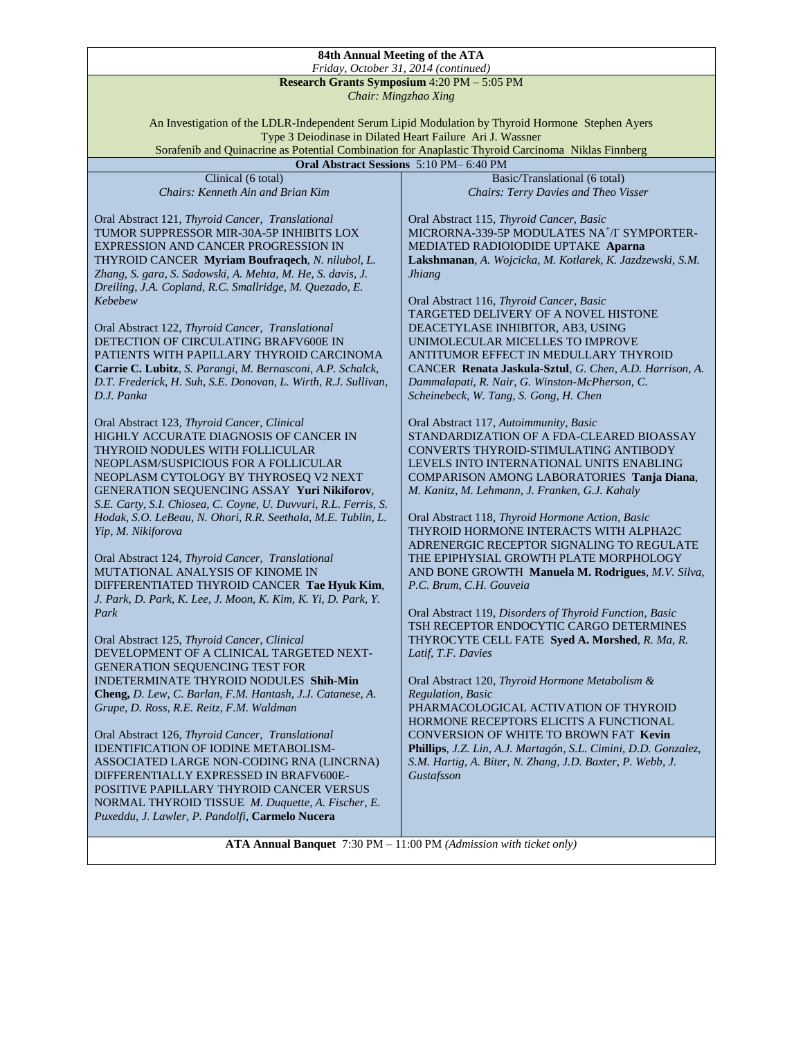## **84th Annual Meeting of the ATA** *Friday, October 31, 2014 (continued)*

## **Research Grants Symposium** 4:20 PM – 5:05 PM

*Chair: Mingzhao Xing*

An Investigation of the LDLR-Independent Serum Lipid Modulation by Thyroid Hormone Stephen Ayers Type 3 Deiodinase in Dilated Heart Failure Ari J. Wassner Sorafenib and Quinacrine as Potential Combination for Anaplastic Thyroid Carcinoma Niklas Finnberg

**Oral Abstract Sessions** 5:10 PM– 6:40 PM

| Clinical (6 total)                                              | Basic/Translational (6 total)                                  |
|-----------------------------------------------------------------|----------------------------------------------------------------|
| Chairs: Kenneth Ain and Brian Kim                               | <b>Chairs: Terry Davies and Theo Visser</b>                    |
|                                                                 |                                                                |
|                                                                 |                                                                |
| Oral Abstract 121, Thyroid Cancer, Translational                | Oral Abstract 115, Thyroid Cancer, Basic                       |
| TUMOR SUPPRESSOR MIR-30A-5P INHIBITS LOX                        | MICRORNA-339-5P MODULATES NA <sup>+</sup> /I SYMPORTER-        |
|                                                                 |                                                                |
| EXPRESSION AND CANCER PROGRESSION IN                            | MEDIATED RADIOIODIDE UPTAKE Aparna                             |
| THYROID CANCER Myriam Boufraqech, N. nilubol, L.                | Lakshmanan, A. Wojcicka, M. Kotlarek, K. Jazdzewski, S.M.      |
| Zhang, S. gara, S. Sadowski, A. Mehta, M. He, S. davis, J.      | <b>Jhiang</b>                                                  |
|                                                                 |                                                                |
| Dreiling, J.A. Copland, R.C. Smallridge, M. Quezado, E.         |                                                                |
| Kebebew                                                         | Oral Abstract 116, Thyroid Cancer, Basic                       |
|                                                                 | TARGETED DELIVERY OF A NOVEL HISTONE                           |
|                                                                 |                                                                |
| Oral Abstract 122, Thyroid Cancer, Translational                | DEACETYLASE INHIBITOR, AB3, USING                              |
| DETECTION OF CIRCULATING BRAFV600E IN                           | UNIMOLECULAR MICELLES TO IMPROVE                               |
|                                                                 |                                                                |
| PATIENTS WITH PAPILLARY THYROID CARCINOMA                       | ANTITUMOR EFFECT IN MEDULLARY THYROID                          |
| Carrie C. Lubitz, S. Parangi, M. Bernasconi, A.P. Schalck,      | CANCER Renata Jaskula-Sztul, G. Chen, A.D. Harrison, A.        |
| D.T. Frederick, H. Suh, S.E. Donovan, L. Wirth, R.J. Sullivan,  | Dammalapati, R. Nair, G. Winston-McPherson, C.                 |
|                                                                 |                                                                |
| D.J. Panka                                                      | Scheinebeck, W. Tang, S. Gong, H. Chen                         |
|                                                                 |                                                                |
| Oral Abstract 123, Thyroid Cancer, Clinical                     | Oral Abstract 117, Autoimmunity, Basic                         |
|                                                                 |                                                                |
| HIGHLY ACCURATE DIAGNOSIS OF CANCER IN                          | STANDARDIZATION OF A FDA-CLEARED BIOASSAY                      |
| THYROID NODULES WITH FOLLICULAR                                 | CONVERTS THYROID-STIMULATING ANTIBODY                          |
| NEOPLASM/SUSPICIOUS FOR A FOLLICULAR                            | LEVELS INTO INTERNATIONAL UNITS ENABLING                       |
|                                                                 |                                                                |
| NEOPLASM CYTOLOGY BY THYROSEO V2 NEXT                           | COMPARISON AMONG LABORATORIES Tanja Diana,                     |
| GENERATION SEQUENCING ASSAY Yuri Nikiforov,                     | M. Kanitz, M. Lehmann, J. Franken, G.J. Kahaly                 |
| S.E. Carty, S.I. Chiosea, C. Coyne, U. Duvvuri, R.L. Ferris, S. |                                                                |
|                                                                 |                                                                |
| Hodak, S.O. LeBeau, N. Ohori, R.R. Seethala, M.E. Tublin, L.    | Oral Abstract 118, Thyroid Hormone Action, Basic               |
| Yip, M. Nikiforova                                              | THYROID HORMONE INTERACTS WITH ALPHA2C                         |
|                                                                 | ADRENERGIC RECEPTOR SIGNALING TO REGULATE                      |
|                                                                 |                                                                |
| Oral Abstract 124, Thyroid Cancer, Translational                | THE EPIPHYSIAL GROWTH PLATE MORPHOLOGY                         |
| MUTATIONAL ANALYSIS OF KINOME IN                                | AND BONE GROWTH Manuela M. Rodrigues, M.V. Silva,              |
| DIFFERENTIATED THYROID CANCER Tae Hyuk Kim,                     | P.C. Brum, C.H. Gouveia                                        |
|                                                                 |                                                                |
| J. Park, D. Park, K. Lee, J. Moon, K. Kim, K. Yi, D. Park, Y.   |                                                                |
| Park                                                            | Oral Abstract 119, Disorders of Thyroid Function, Basic        |
|                                                                 | TSH RECEPTOR ENDOCYTIC CARGO DETERMINES                        |
|                                                                 |                                                                |
| Oral Abstract 125, Thyroid Cancer, Clinical                     | THYROCYTE CELL FATE Syed A. Morshed, R. Ma, R.                 |
| DEVELOPMENT OF A CLINICAL TARGETED NEXT-                        | Latif, T.F. Davies                                             |
| <b>GENERATION SEQUENCING TEST FOR</b>                           |                                                                |
|                                                                 |                                                                |
| INDETERMINATE THYROID NODULES Shih-Min                          | Oral Abstract 120, Thyroid Hormone Metabolism &                |
| Cheng, D. Lew, C. Barlan, F.M. Hantash, J.J. Catanese, A.       | Regulation, Basic                                              |
| Grupe, D. Ross, R.E. Reitz, F.M. Waldman                        | PHARMACOLOGICAL ACTIVATION OF THYROID                          |
|                                                                 |                                                                |
|                                                                 | HORMONE RECEPTORS ELICITS A FUNCTIONAL                         |
| Oral Abstract 126, Thyroid Cancer, Translational                | CONVERSION OF WHITE TO BROWN FAT Kevin                         |
| IDENTIFICATION OF IODINE METABOLISM-                            | Phillips, J.Z. Lin, A.J. Martagón, S.L. Cimini, D.D. Gonzalez, |
|                                                                 |                                                                |
| ASSOCIATED LARGE NON-CODING RNA (LINCRNA)                       | S.M. Hartig, A. Biter, N. Zhang, J.D. Baxter, P. Webb, J.      |
| DIFFERENTIALLY EXPRESSED IN BRAFV600E-                          | Gustafsson                                                     |
| POSITIVE PAPILLARY THYROID CANCER VERSUS                        |                                                                |
|                                                                 |                                                                |
| NORMAL THYROID TISSUE M. Duquette, A. Fischer, E.               |                                                                |
| Puxeddu, J. Lawler, P. Pandolfi, Carmelo Nucera                 |                                                                |

**ATA Annual Banquet** 7:30 PM – 11:00 PM *(Admission with ticket only)*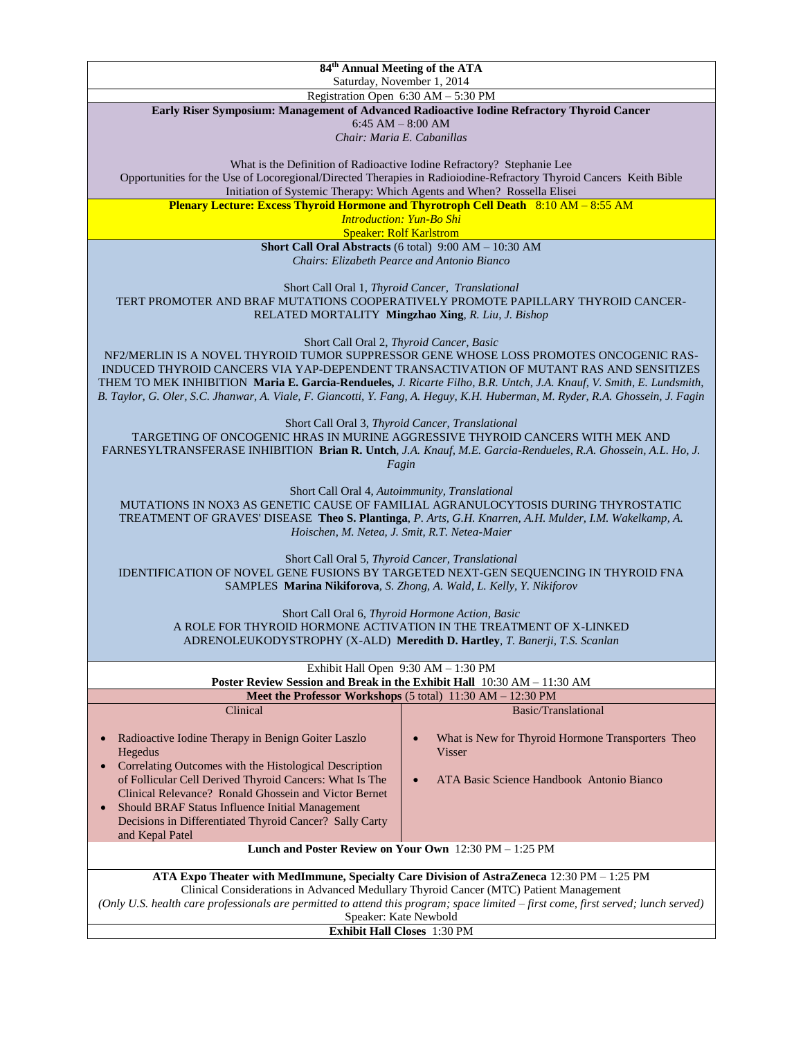**84th Annual Meeting of the ATA** Saturday, November 1, 2014 Registration Open 6:30 AM – 5:30 PM **Early Riser Symposium: Management of Advanced Radioactive Iodine Refractory Thyroid Cancer** 6:45 AM – 8:00 AM *Chair: Maria E. Cabanillas* What is the Definition of Radioactive Iodine Refractory? Stephanie Lee Opportunities for the Use of Locoregional/Directed Therapies in Radioiodine-Refractory Thyroid Cancers Keith Bible Initiation of Systemic Therapy: Which Agents and When? Rossella Elisei **Plenary Lecture: Excess Thyroid Hormone and Thyrotroph Cell Death** 8:10 AM – 8:55 AM *Introduction: Yun-Bo Shi* Speaker: Rolf Karlstrom **Short Call Oral Abstracts** (6 total) 9:00 AM – 10:30 AM *Chairs: Elizabeth Pearce and Antonio Bianco* Short Call Oral 1, *Thyroid Cancer, Translational* TERT PROMOTER AND BRAF MUTATIONS COOPERATIVELY PROMOTE PAPILLARY THYROID CANCER-RELATED MORTALITY **Mingzhao Xing***, R. Liu, J. Bishop* Short Call Oral 2, *Thyroid Cancer, Basic* NF2/MERLIN IS A NOVEL THYROID TUMOR SUPPRESSOR GENE WHOSE LOSS PROMOTES ONCOGENIC RAS-INDUCED THYROID CANCERS VIA YAP-DEPENDENT TRANSACTIVATION OF MUTANT RAS AND SENSITIZES THEM TO MEK INHIBITION **Maria E. Garcia-Rendueles***, J. Ricarte Filho, B.R. Untch, J.A. Knauf, V. Smith, E. Lundsmith, B. Taylor, G. Oler, S.C. Jhanwar, A. Viale, F. Giancotti, Y. Fang, A. Heguy, K.H. Huberman, M. Ryder, R.A. Ghossein, J. Fagin* Short Call Oral 3, *Thyroid Cancer, Translational* TARGETING OF ONCOGENIC HRAS IN MURINE AGGRESSIVE THYROID CANCERS WITH MEK AND FARNESYLTRANSFERASE INHIBITION **Brian R. Untch***, J.A. Knauf, M.E. Garcia-Rendueles, R.A. Ghossein, A.L. Ho, J. Fagin* Short Call Oral 4, *Autoimmunity, Translational* MUTATIONS IN NOX3 AS GENETIC CAUSE OF FAMILIAL AGRANULOCYTOSIS DURING THYROSTATIC TREATMENT OF GRAVES' DISEASE **Theo S. Plantinga**, *P. Arts, G.H. Knarren, A.H. Mulder, I.M. Wakelkamp, A. Hoischen, M. Netea, J. Smit, R.T. Netea-Maier* Short Call Oral 5, *Thyroid Cancer, Translational* IDENTIFICATION OF NOVEL GENE FUSIONS BY TARGETED NEXT-GEN SEQUENCING IN THYROID FNA SAMPLES **Marina Nikiforova***, S. Zhong, A. Wald, L. Kelly, Y. Nikiforov* Short Call Oral 6, *Thyroid Hormone Action, Basic* A ROLE FOR THYROID HORMONE ACTIVATION IN THE TREATMENT OF X-LINKED ADRENOLEUKODYSTROPHY (X-ALD) **Meredith D. Hartley***, T. Banerji, T.S. Scanlan* Exhibit Hall Open 9:30 AM – 1:30 PM **Poster Review Session and Break in the Exhibit Hall** 10:30 AM – 11:30 AM **Meet the Professor Workshops** (5 total) 11:30 AM – 12:30 PM Clinical Radioactive Iodine Therapy in Benign Goiter Laszlo Hegedus • Correlating Outcomes with the Histological Description of Follicular Cell Derived Thyroid Cancers: What Is The Clinical Relevance? Ronald Ghossein and Victor Bernet Should BRAF Status Influence Initial Management Decisions in Differentiated Thyroid Cancer? Sally Carty and Kepal Patel Basic/Translational What is New for Thyroid Hormone Transporters Theo Visser ATA Basic Science Handbook Antonio Bianco **Lunch and Poster Review on Your Own** 12:30 PM – 1:25 PM **ATA Expo Theater with MedImmune, Specialty Care Division of AstraZeneca** 12:30 PM – 1:25 PM Clinical Considerations in Advanced Medullary Thyroid Cancer (MTC) Patient Management *(Only U.S. health care professionals are permitted to attend this program; space limited – first come, first served; lunch served)* Speaker: Kate Newbold **Exhibit Hall Closes** 1:30 PM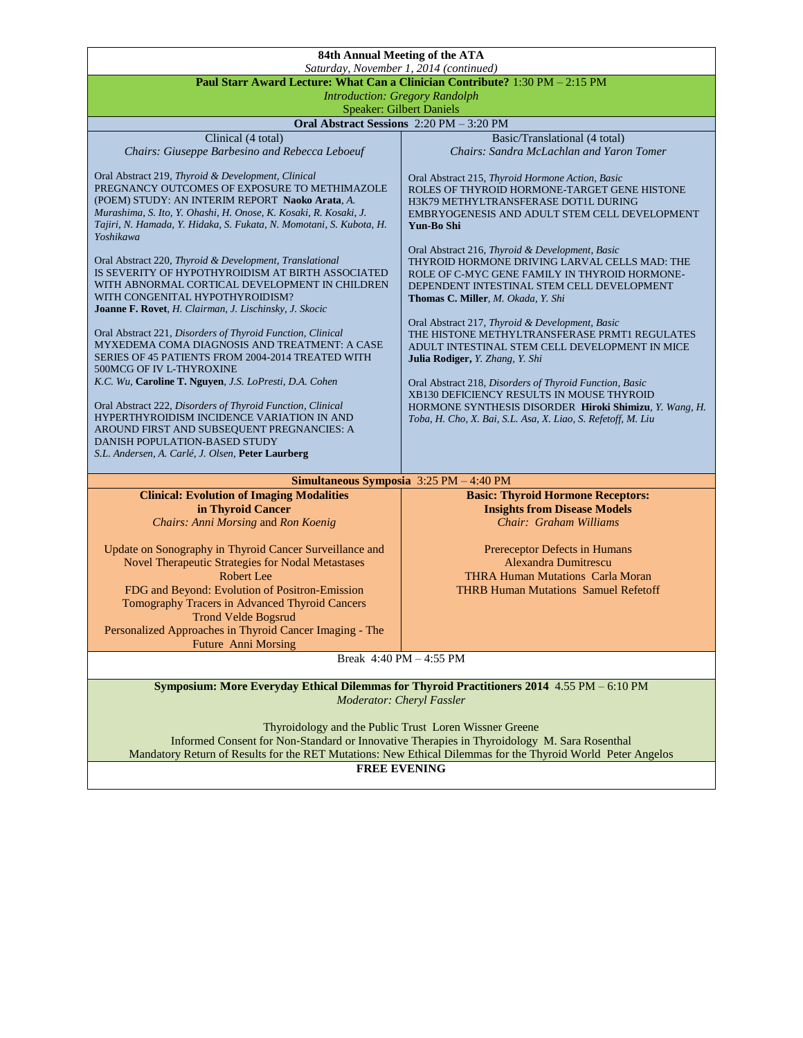|                                                                                                                                                                                                                                                                                                                                                                                                                                                                                                                                                                                                                                                                                                                                                                                                                                                                                                                                                                                                                                    | 84th Annual Meeting of the ATA                                                                                                                                                                                                                                                                                                                                                                                                                                                                                                                                                                                                                                                                                                                                                                                                                                              |  |
|------------------------------------------------------------------------------------------------------------------------------------------------------------------------------------------------------------------------------------------------------------------------------------------------------------------------------------------------------------------------------------------------------------------------------------------------------------------------------------------------------------------------------------------------------------------------------------------------------------------------------------------------------------------------------------------------------------------------------------------------------------------------------------------------------------------------------------------------------------------------------------------------------------------------------------------------------------------------------------------------------------------------------------|-----------------------------------------------------------------------------------------------------------------------------------------------------------------------------------------------------------------------------------------------------------------------------------------------------------------------------------------------------------------------------------------------------------------------------------------------------------------------------------------------------------------------------------------------------------------------------------------------------------------------------------------------------------------------------------------------------------------------------------------------------------------------------------------------------------------------------------------------------------------------------|--|
|                                                                                                                                                                                                                                                                                                                                                                                                                                                                                                                                                                                                                                                                                                                                                                                                                                                                                                                                                                                                                                    | Saturday, November 1, 2014 (continued)<br>Paul Starr Award Lecture: What Can a Clinician Contribute? 1:30 PM - 2:15 PM                                                                                                                                                                                                                                                                                                                                                                                                                                                                                                                                                                                                                                                                                                                                                      |  |
|                                                                                                                                                                                                                                                                                                                                                                                                                                                                                                                                                                                                                                                                                                                                                                                                                                                                                                                                                                                                                                    | <b>Introduction: Gregory Randolph</b>                                                                                                                                                                                                                                                                                                                                                                                                                                                                                                                                                                                                                                                                                                                                                                                                                                       |  |
| <b>Speaker: Gilbert Daniels</b>                                                                                                                                                                                                                                                                                                                                                                                                                                                                                                                                                                                                                                                                                                                                                                                                                                                                                                                                                                                                    |                                                                                                                                                                                                                                                                                                                                                                                                                                                                                                                                                                                                                                                                                                                                                                                                                                                                             |  |
|                                                                                                                                                                                                                                                                                                                                                                                                                                                                                                                                                                                                                                                                                                                                                                                                                                                                                                                                                                                                                                    | Oral Abstract Sessions 2:20 PM - 3:20 PM                                                                                                                                                                                                                                                                                                                                                                                                                                                                                                                                                                                                                                                                                                                                                                                                                                    |  |
| Clinical (4 total)<br>Chairs: Giuseppe Barbesino and Rebecca Leboeuf                                                                                                                                                                                                                                                                                                                                                                                                                                                                                                                                                                                                                                                                                                                                                                                                                                                                                                                                                               | Basic/Translational (4 total)<br>Chairs: Sandra McLachlan and Yaron Tomer                                                                                                                                                                                                                                                                                                                                                                                                                                                                                                                                                                                                                                                                                                                                                                                                   |  |
| Oral Abstract 219, Thyroid & Development, Clinical<br>PREGNANCY OUTCOMES OF EXPOSURE TO METHIMAZOLE<br>(POEM) STUDY: AN INTERIM REPORT Naoko Arata, A.<br>Murashima, S. Ito, Y. Ohashi, H. Onose, K. Kosaki, R. Kosaki, J.<br>Tajiri, N. Hamada, Y. Hidaka, S. Fukata, N. Momotani, S. Kubota, H.<br>Yoshikawa<br>Oral Abstract 220, Thyroid & Development, Translational<br>IS SEVERITY OF HYPOTHYROIDISM AT BIRTH ASSOCIATED<br>WITH ABNORMAL CORTICAL DEVELOPMENT IN CHILDREN<br>WITH CONGENITAL HYPOTHYROIDISM?<br>Joanne F. Rovet, H. Clairman, J. Lischinsky, J. Skocic<br>Oral Abstract 221, Disorders of Thyroid Function, Clinical<br>MYXEDEMA COMA DIAGNOSIS AND TREATMENT: A CASE<br>SERIES OF 45 PATIENTS FROM 2004-2014 TREATED WITH<br>500MCG OF IV L-THYROXINE<br>K.C. Wu, Caroline T. Nguyen, J.S. LoPresti, D.A. Cohen<br>Oral Abstract 222, Disorders of Thyroid Function, Clinical<br>HYPERTHYROIDISM INCIDENCE VARIATION IN AND<br>AROUND FIRST AND SUBSEQUENT PREGNANCIES: A<br>DANISH POPULATION-BASED STUDY | Oral Abstract 215, Thyroid Hormone Action, Basic<br>ROLES OF THYROID HORMONE-TARGET GENE HISTONE<br>H3K79 METHYLTRANSFERASE DOT1L DURING<br>EMBRYOGENESIS AND ADULT STEM CELL DEVELOPMENT<br>Yun-Bo Shi<br>Oral Abstract 216, Thyroid & Development, Basic<br>THYROID HORMONE DRIVING LARVAL CELLS MAD: THE<br>ROLE OF C-MYC GENE FAMILY IN THYROID HORMONE-<br>DEPENDENT INTESTINAL STEM CELL DEVELOPMENT<br>Thomas C. Miller, M. Okada, Y. Shi<br>Oral Abstract 217, Thyroid & Development, Basic<br>THE HISTONE METHYLTRANSFERASE PRMT1 REGULATES<br>ADULT INTESTINAL STEM CELL DEVELOPMENT IN MICE<br>Julia Rodiger, Y. Zhang, Y. Shi<br>Oral Abstract 218, Disorders of Thyroid Function, Basic<br>XB130 DEFICIENCY RESULTS IN MOUSE THYROID<br>HORMONE SYNTHESIS DISORDER Hiroki Shimizu, Y. Wang, H.<br>Toba, H. Cho, X. Bai, S.L. Asa, X. Liao, S. Refetoff, M. Liu |  |
| S.L. Andersen, A. Carlé, J. Olsen, Peter Laurberg                                                                                                                                                                                                                                                                                                                                                                                                                                                                                                                                                                                                                                                                                                                                                                                                                                                                                                                                                                                  |                                                                                                                                                                                                                                                                                                                                                                                                                                                                                                                                                                                                                                                                                                                                                                                                                                                                             |  |
|                                                                                                                                                                                                                                                                                                                                                                                                                                                                                                                                                                                                                                                                                                                                                                                                                                                                                                                                                                                                                                    | Simultaneous Symposia 3:25 PM - 4:40 PM                                                                                                                                                                                                                                                                                                                                                                                                                                                                                                                                                                                                                                                                                                                                                                                                                                     |  |
| <b>Clinical: Evolution of Imaging Modalities</b>                                                                                                                                                                                                                                                                                                                                                                                                                                                                                                                                                                                                                                                                                                                                                                                                                                                                                                                                                                                   | <b>Basic: Thyroid Hormone Receptors:</b>                                                                                                                                                                                                                                                                                                                                                                                                                                                                                                                                                                                                                                                                                                                                                                                                                                    |  |
| in Thyroid Cancer<br>Chairs: Anni Morsing and Ron Koenig                                                                                                                                                                                                                                                                                                                                                                                                                                                                                                                                                                                                                                                                                                                                                                                                                                                                                                                                                                           | <b>Insights from Disease Models</b><br>Chair: Graham Williams                                                                                                                                                                                                                                                                                                                                                                                                                                                                                                                                                                                                                                                                                                                                                                                                               |  |
|                                                                                                                                                                                                                                                                                                                                                                                                                                                                                                                                                                                                                                                                                                                                                                                                                                                                                                                                                                                                                                    |                                                                                                                                                                                                                                                                                                                                                                                                                                                                                                                                                                                                                                                                                                                                                                                                                                                                             |  |
| Update on Sonography in Thyroid Cancer Surveillance and<br>Novel Therapeutic Strategies for Nodal Metastases                                                                                                                                                                                                                                                                                                                                                                                                                                                                                                                                                                                                                                                                                                                                                                                                                                                                                                                       | Prereceptor Defects in Humans<br><b>Alexandra Dumitrescu</b>                                                                                                                                                                                                                                                                                                                                                                                                                                                                                                                                                                                                                                                                                                                                                                                                                |  |
| <b>Robert Lee</b><br>FDG and Beyond: Evolution of Positron-Emission                                                                                                                                                                                                                                                                                                                                                                                                                                                                                                                                                                                                                                                                                                                                                                                                                                                                                                                                                                | <b>THRA Human Mutations Carla Moran</b><br><b>THRB Human Mutations Samuel Refetoff</b>                                                                                                                                                                                                                                                                                                                                                                                                                                                                                                                                                                                                                                                                                                                                                                                      |  |
| Tomography Tracers in Advanced Thyroid Cancers                                                                                                                                                                                                                                                                                                                                                                                                                                                                                                                                                                                                                                                                                                                                                                                                                                                                                                                                                                                     |                                                                                                                                                                                                                                                                                                                                                                                                                                                                                                                                                                                                                                                                                                                                                                                                                                                                             |  |
| <b>Trond Velde Bogsrud</b>                                                                                                                                                                                                                                                                                                                                                                                                                                                                                                                                                                                                                                                                                                                                                                                                                                                                                                                                                                                                         |                                                                                                                                                                                                                                                                                                                                                                                                                                                                                                                                                                                                                                                                                                                                                                                                                                                                             |  |
| Personalized Approaches in Thyroid Cancer Imaging - The                                                                                                                                                                                                                                                                                                                                                                                                                                                                                                                                                                                                                                                                                                                                                                                                                                                                                                                                                                            |                                                                                                                                                                                                                                                                                                                                                                                                                                                                                                                                                                                                                                                                                                                                                                                                                                                                             |  |
| <b>Future</b> Anni Morsing                                                                                                                                                                                                                                                                                                                                                                                                                                                                                                                                                                                                                                                                                                                                                                                                                                                                                                                                                                                                         | Break 4:40 PM - 4:55 PM                                                                                                                                                                                                                                                                                                                                                                                                                                                                                                                                                                                                                                                                                                                                                                                                                                                     |  |
|                                                                                                                                                                                                                                                                                                                                                                                                                                                                                                                                                                                                                                                                                                                                                                                                                                                                                                                                                                                                                                    |                                                                                                                                                                                                                                                                                                                                                                                                                                                                                                                                                                                                                                                                                                                                                                                                                                                                             |  |
| Symposium: More Everyday Ethical Dilemmas for Thyroid Practitioners 2014 4.55 PM - 6:10 PM<br>Moderator: Cheryl Fassler                                                                                                                                                                                                                                                                                                                                                                                                                                                                                                                                                                                                                                                                                                                                                                                                                                                                                                            |                                                                                                                                                                                                                                                                                                                                                                                                                                                                                                                                                                                                                                                                                                                                                                                                                                                                             |  |
| Thyroidology and the Public Trust Loren Wissner Greene                                                                                                                                                                                                                                                                                                                                                                                                                                                                                                                                                                                                                                                                                                                                                                                                                                                                                                                                                                             |                                                                                                                                                                                                                                                                                                                                                                                                                                                                                                                                                                                                                                                                                                                                                                                                                                                                             |  |
| Informed Consent for Non-Standard or Innovative Therapies in Thyroidology M. Sara Rosenthal                                                                                                                                                                                                                                                                                                                                                                                                                                                                                                                                                                                                                                                                                                                                                                                                                                                                                                                                        |                                                                                                                                                                                                                                                                                                                                                                                                                                                                                                                                                                                                                                                                                                                                                                                                                                                                             |  |
| Mandatory Return of Results for the RET Mutations: New Ethical Dilemmas for the Thyroid World Peter Angelos                                                                                                                                                                                                                                                                                                                                                                                                                                                                                                                                                                                                                                                                                                                                                                                                                                                                                                                        |                                                                                                                                                                                                                                                                                                                                                                                                                                                                                                                                                                                                                                                                                                                                                                                                                                                                             |  |
| <b>FREE EVENING</b>                                                                                                                                                                                                                                                                                                                                                                                                                                                                                                                                                                                                                                                                                                                                                                                                                                                                                                                                                                                                                |                                                                                                                                                                                                                                                                                                                                                                                                                                                                                                                                                                                                                                                                                                                                                                                                                                                                             |  |
|                                                                                                                                                                                                                                                                                                                                                                                                                                                                                                                                                                                                                                                                                                                                                                                                                                                                                                                                                                                                                                    |                                                                                                                                                                                                                                                                                                                                                                                                                                                                                                                                                                                                                                                                                                                                                                                                                                                                             |  |